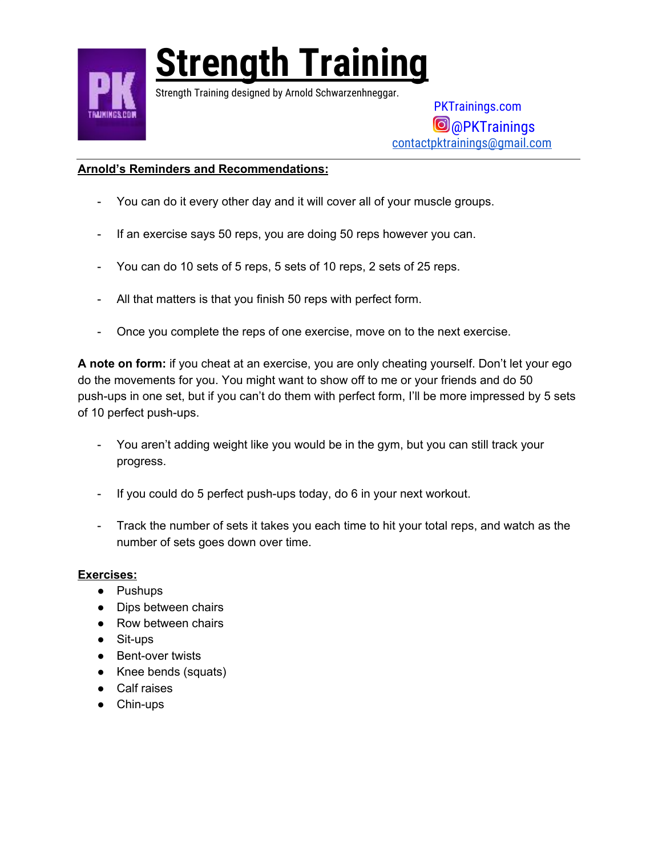

Strength Training designed by Arnold Schwarzenhneggar.

 PKTrainings.com **@**@PKTrainings [contactpktrainings@gmail.com](mailto:contactpktrainings@gmail.com)

#### **Arnold's Reminders and Recommendations:**

- You can do it every other day and it will cover all of your muscle groups.
- If an exercise says 50 reps, you are doing 50 reps however you can.
- You can do 10 sets of 5 reps, 5 sets of 10 reps, 2 sets of 25 reps.
- All that matters is that you finish 50 reps with perfect form.
- Once you complete the reps of one exercise, move on to the next exercise.

**A note on form:** if you cheat at an exercise, you are only cheating yourself. Don't let your ego do the movements for you. You might want to show off to me or your friends and do 50 push-ups in one set, but if you can't do them with perfect form, I'll be more impressed by 5 sets of 10 perfect push-ups.

- You aren't adding weight like you would be in the gym, but you can still track your progress.
- If you could do 5 perfect push-ups today, do 6 in your next workout.
- Track the number of sets it takes you each time to hit your total reps, and watch as the number of sets goes down over time.

#### **Exercises:**

- Pushups
- Dips between chairs
- Row between chairs
- Sit-ups
- Bent-over twists
- Knee bends (squats)
- Calf raises
- Chin-ups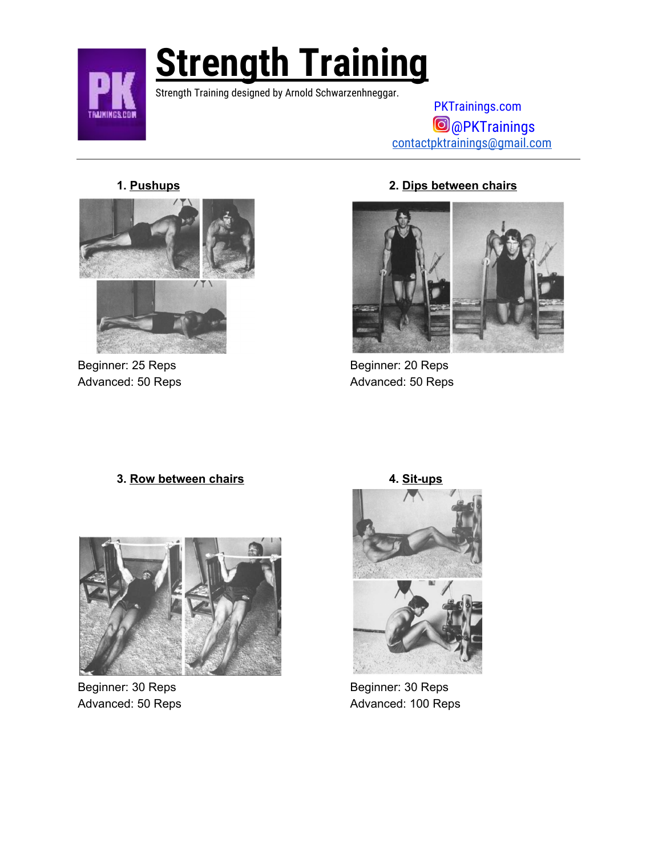

Strength Training designed by Arnold Schwarzenhneggar.

 PKTrainings.com @PKTrainings [contactpktrainings@gmail.com](mailto:contactpktrainings@gmail.com)



Beginner: 25 Reps Beginner: 20 Reps

#### **1. Pushups 2. Dips between chairs**



Advanced: 50 Reps **Advanced: 50 Reps** Advanced: 50 Reps

#### **3. Row between chairs 4. Sit-ups**



Beginner: 30 Reps Beginner: 30 Reps



Advanced: 50 Reps Advanced: 100 Reps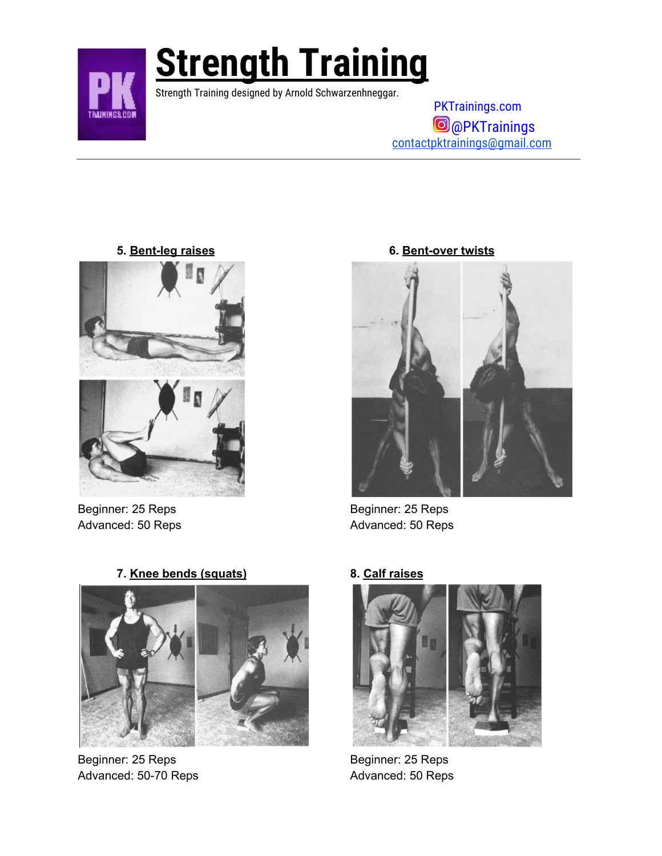

Strength Training designed by Arnold Schwarzenhneggar.

 PKTrainings.com @PKTrainings [contactpktrainings@gmail.com](mailto:contactpktrainings@gmail.com)

**5. Bent-leg raises 6. Bent-over twists**



Beginner: 25 Reps Beginner: 25 Reps Advanced: 50 Reps **Advanced: 50 Reps** Advanced: 50 Reps



Beginner: 25 Reps Beginner: 25 Reps Advanced: 50-70 Reps Advanced: 50 Reps

**7. Knee bends (squats) 8. Calf raises**